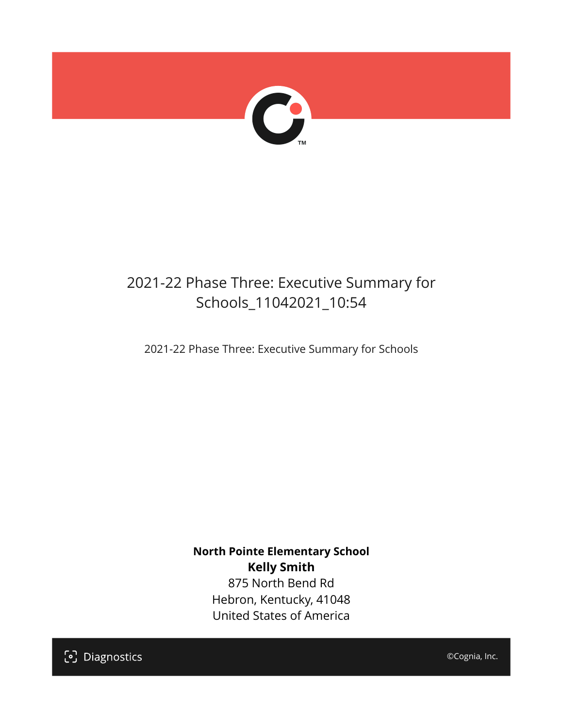

## 2021-22 Phase Three: Executive Summary for Schools\_11042021\_10:54

2021-22 Phase Three: Executive Summary for Schools

**North Pointe Elementary School Kelly Smith** 875 North Bend Rd Hebron, Kentucky, 41048 United States of America

[၁] Diagnostics

©Cognia, Inc.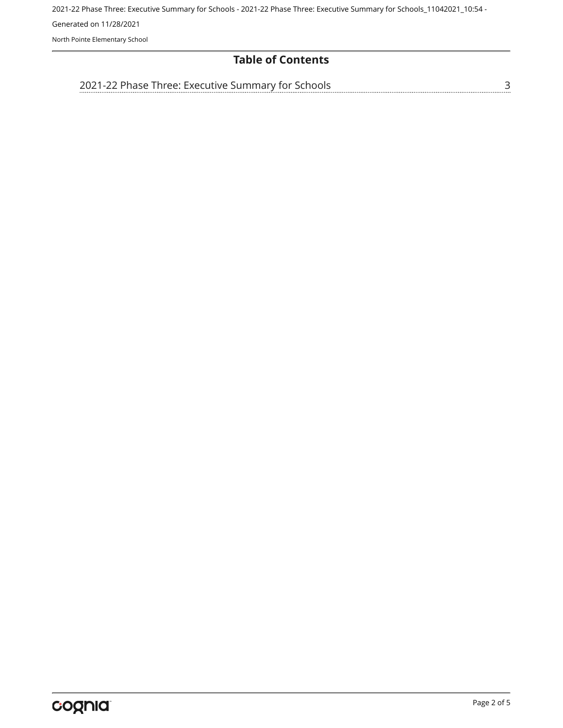2021-22 Phase Three: Executive Summary for Schools - 2021-22 Phase Three: Executive Summary for Schools\_11042021\_10:54 - Generated on 11/28/2021 North Pointe Elementary School

#### **Table of Contents**

[2021-22 Phase Three: Executive Summary for Schools](#page-2-0)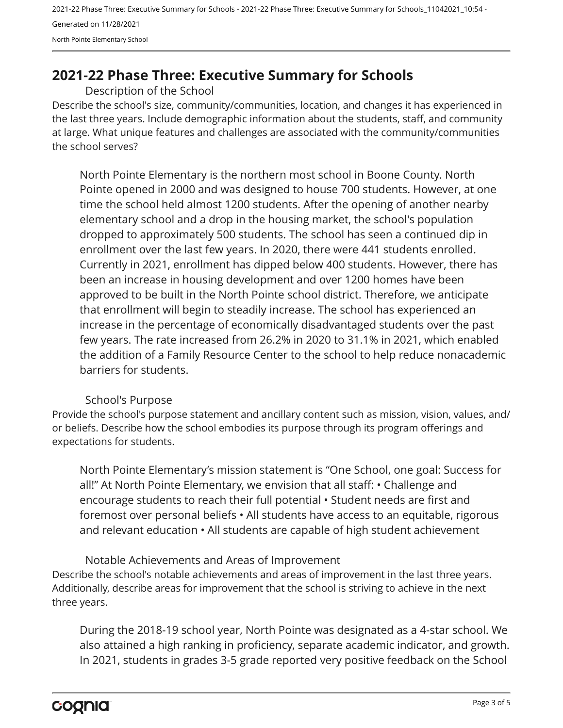2021-22 Phase Three: Executive Summary for Schools - 2021-22 Phase Three: Executive Summary for Schools\_11042021\_10:54 - Generated on 11/28/2021 North Pointe Elementary School

### <span id="page-2-0"></span>**2021-22 Phase Three: Executive Summary for Schools**

Description of the School

Describe the school's size, community/communities, location, and changes it has experienced in the last three years. Include demographic information about the students, staff, and community at large. What unique features and challenges are associated with the community/communities the school serves?

North Pointe Elementary is the northern most school in Boone County. North Pointe opened in 2000 and was designed to house 700 students. However, at one time the school held almost 1200 students. After the opening of another nearby elementary school and a drop in the housing market, the school's population dropped to approximately 500 students. The school has seen a continued dip in enrollment over the last few years. In 2020, there were 441 students enrolled. Currently in 2021, enrollment has dipped below 400 students. However, there has been an increase in housing development and over 1200 homes have been approved to be built in the North Pointe school district. Therefore, we anticipate that enrollment will begin to steadily increase. The school has experienced an increase in the percentage of economically disadvantaged students over the past few years. The rate increased from 26.2% in 2020 to 31.1% in 2021, which enabled the addition of a Family Resource Center to the school to help reduce nonacademic barriers for students.

#### School's Purpose

Provide the school's purpose statement and ancillary content such as mission, vision, values, and/ or beliefs. Describe how the school embodies its purpose through its program offerings and expectations for students.

North Pointe Elementary's mission statement is "One School, one goal: Success for all!" At North Pointe Elementary, we envision that all staff: • Challenge and encourage students to reach their full potential • Student needs are first and foremost over personal beliefs • All students have access to an equitable, rigorous and relevant education • All students are capable of high student achievement

Describe the school's notable achievements and areas of improvement in the last three years. Additionally, describe areas for improvement that the school is striving to achieve in the next three years. Notable Achievements and Areas of Improvement

During the 2018-19 school year, North Pointe was designated as a 4-star school. We also attained a high ranking in proficiency, separate academic indicator, and growth. In 2021, students in grades 3-5 grade reported very positive feedback on the School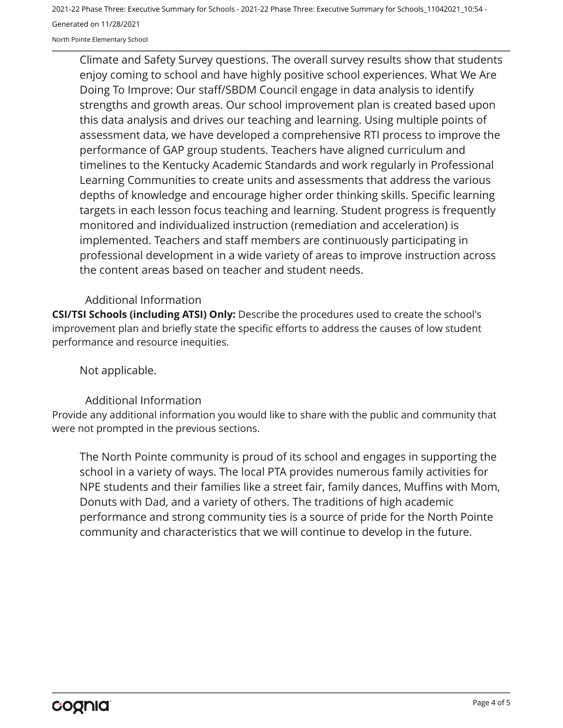2021-22 Phase Three: Executive Summary for Schools - 2021-22 Phase Three: Executive Summary for Schools\_11042021\_10:54 - Generated on 11/28/2021

North Pointe Elementary School

Climate and Safety Survey questions. The overall survey results show that students enjoy coming to school and have highly positive school experiences. What We Are Doing To Improve: Our staff/SBDM Council engage in data analysis to identify strengths and growth areas. Our school improvement plan is created based upon this data analysis and drives our teaching and learning. Using multiple points of assessment data, we have developed a comprehensive RTI process to improve the performance of GAP group students. Teachers have aligned curriculum and timelines to the Kentucky Academic Standards and work regularly in Professional Learning Communities to create units and assessments that address the various depths of knowledge and encourage higher order thinking skills. Specific learning targets in each lesson focus teaching and learning. Student progress is frequently monitored and individualized instruction (remediation and acceleration) is implemented. Teachers and staff members are continuously participating in professional development in a wide variety of areas to improve instruction across the content areas based on teacher and student needs.

#### Additional Information

**CSI/TSI Schools (including ATSI) Only:** Describe the procedures used to create the school's improvement plan and briefly state the specific efforts to address the causes of low student performance and resource inequities.

Not applicable.

#### Additional Information

Provide any additional information you would like to share with the public and community that were not prompted in the previous sections.

The North Pointe community is proud of its school and engages in supporting the school in a variety of ways. The local PTA provides numerous family activities for NPE students and their families like a street fair, family dances, Muffins with Mom, Donuts with Dad, and a variety of others. The traditions of high academic performance and strong community ties is a source of pride for the North Pointe community and characteristics that we will continue to develop in the future.